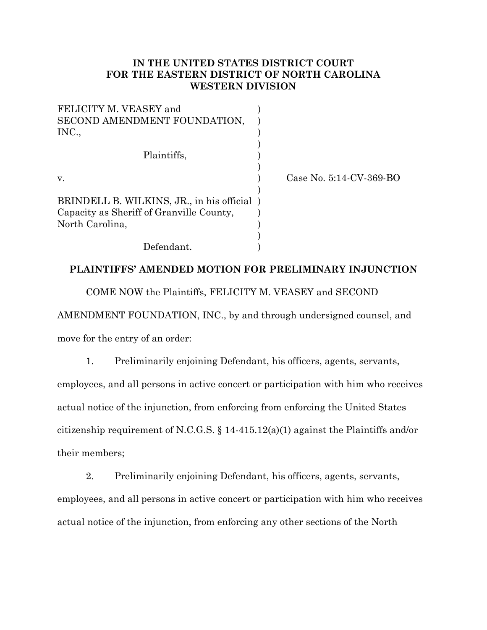## **IN THE UNITED STATES DISTRICT COURT FOR THE EASTERN DISTRICT OF NORTH CAROLINA WESTERN DIVISION**

| FELICITY M. VEASEY and<br>SECOND AMENDMENT FOUNDATION, |                         |
|--------------------------------------------------------|-------------------------|
| INC.,                                                  |                         |
| Plaintiffs,                                            |                         |
| V.                                                     | Case No. 5:14-CV-369-BO |
| BRINDELL B. WILKINS, JR., in his official)             |                         |
| Capacity as Sheriff of Granville County,               |                         |
| North Carolina,                                        |                         |
|                                                        |                         |
| Defendant.                                             |                         |

## **PLAINTIFFS' AMENDED MOTION FOR PRELIMINARY INJUNCTION**

COME NOW the Plaintiffs, FELICITY M. VEASEY and SECOND AMENDMENT FOUNDATION, INC., by and through undersigned counsel, and move for the entry of an order:

1. Preliminarily enjoining Defendant, his officers, agents, servants, employees, and all persons in active concert or participation with him who receives actual notice of the injunction, from enforcing from enforcing the United States citizenship requirement of N.C.G.S. § 14-415.12(a)(1) against the Plaintiffs and/or their members;

2. Preliminarily enjoining Defendant, his officers, agents, servants, employees, and all persons in active concert or participation with him who receives actual notice of the injunction, from enforcing any other sections of the North